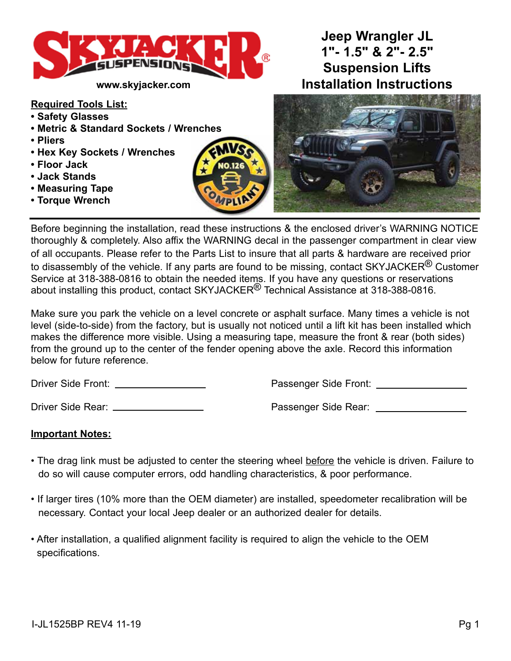

#### **Required Tools List:**

- **Safety Glasses**
- **Metric & Standard Sockets / Wrenches**
- **Pliers**
- **Hex Key Sockets / Wrenches**
- **Floor Jack**
- **Jack Stands**
- **Measuring Tape**
- **Torque Wrench**



# **Jeep Wrangler JL 1"- 1.5" & 2"- 2.5" Suspension Lifts www.skyjacker.com Installation Instructions**



Before beginning the installation, read these instructions & the enclosed driver's WARNING NOTICE thoroughly & completely. Also affix the WARNING decal in the passenger compartment in clear view of all occupants. Please refer to the Parts List to insure that all parts & hardware are received prior to disassembly of the vehicle. If any parts are found to be missing, contact SKYJACKER $^\circledR$  Customer Service at 318-388-0816 to obtain the needed items. If you have any questions or reservations about installing this product, contact SKYJACKER<sup>®</sup> Technical Assistance at 318-388-0816.

Make sure you park the vehicle on a level concrete or asphalt surface. Many times a vehicle is not level (side-to-side) from the factory, but is usually not noticed until a lift kit has been installed which makes the difference more visible. Using a measuring tape, measure the front & rear (both sides) from the ground up to the center of the fender opening above the axle. Record this information below for future reference.

Driver Side Front: Passenger Side Front:

Driver Side Rear: Passenger Side Rear:

#### **Important Notes:**

- The drag link must be adjusted to center the steering wheel before the vehicle is driven. Failure to do so will cause computer errors, odd handling characteristics, & poor performance.
- If larger tires (10% more than the OEM diameter) are installed, speedometer recalibration will be necessary. Contact your local Jeep dealer or an authorized dealer for details.
- After installation, a qualified alignment facility is required to align the vehicle to the OEM specifications.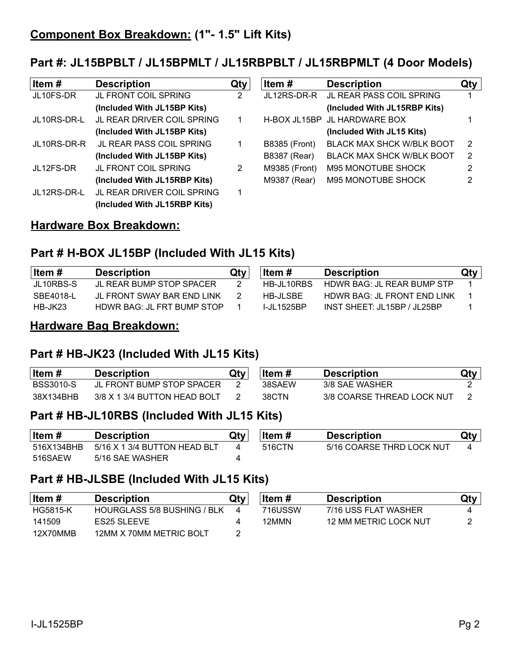# **Part #: JL15BPBLT / JL15BPMLT / JL15RBPBLT / JL15RBPMLT (4 Door Models)**

| Item#       | <b>Description</b>              | Qty | Item#                | <b>Description</b>               | Qty |
|-------------|---------------------------------|-----|----------------------|----------------------------------|-----|
| JL10FS-DR   | JL FRONT COIL SPRING            | 2   | JL12RS-DR-R          | JL REAR PASS COIL SPRING         |     |
|             | (Included With JL15BP Kits)     |     |                      | (Included With JL15RBP Kits)     |     |
| JL10RS-DR-L | JL REAR DRIVER COIL SPRING      |     |                      | H-BOX JL15BP JL HARDWARE BOX     |     |
|             | (Included With JL15BP Kits)     |     |                      | (Included With JL15 Kits)        |     |
| JL10RS-DR-R | <b>JL REAR PASS COIL SPRING</b> |     | <b>B8385 (Front)</b> | <b>BLACK MAX SHCK W/BLK BOOT</b> | -2  |
|             | (Included With JL15BP Kits)     |     | <b>B8387 (Rear)</b>  | <b>BLACK MAX SHCK W/BLK BOOT</b> | -2  |
| JL12FS-DR   | <b>JL FRONT COIL SPRING</b>     | 2   | M9385 (Front)        | <b>M95 MONOTUBE SHOCK</b>        | 2   |
|             | (Included With JL15RBP Kits)    |     | M9387 (Rear)         | M95 MONOTUBE SHOCK               | 2   |
| JL12RS-DR-L | JL REAR DRIVER COIL SPRING      | 1   |                      |                                  |     |
|             | (Included With JL15RBP Kits)    |     |                      |                                  |     |

## **Hardware Box Breakdown:**

# **Part # H-BOX JL15BP (Included With JL15 Kits)**

| Item #         | <b>Description</b>         | Qty | ltem #             | <b>Description</b>                | Qty |
|----------------|----------------------------|-----|--------------------|-----------------------------------|-----|
| JL10RBS-S      | JI REAR BUMP STOP SPACER   |     | HB-JI 10RBS        | HOWR BAG: JL REAR BUMP STP        |     |
| SBE4018-L      | JL FRONT SWAY BAR END LINK |     | HB-JLSBE           | HDWR BAG: JL FRONT END LINK       |     |
| <b>HB-JK23</b> | HDWR BAG: JL FRT BUMP STOP |     | <u>L.II 1525BP</u> | INST SHEET JI 15BP $\ell$ JI 25BP |     |

### **Hardware Bag Breakdown:**

# **Part # HB-JK23 (Included With JL15 Kits)**

| ∣ltem #   | <b>Description</b>           | Qty∣ | ∣ltem # | <b>Description</b>         | Qty |
|-----------|------------------------------|------|---------|----------------------------|-----|
| BSS3010-S | JL FRONT BUMP STOP SPACER    |      | 38SAFW  | 3/8 SAE WASHER             |     |
| 38X134BHB | 3/8 X 1 3/4 BUTTON HEAD BOLT |      | 38CTN   | 3/8 COARSE THREAD LOCK NUT |     |

# **Part # HB-JL10RBS (Included With JL15 Kits)**

| $ $ Item # | Description                  | Qty | ltem # | <b>Description</b>        | Qty |
|------------|------------------------------|-----|--------|---------------------------|-----|
| 516X134BHB | 5/16 X 1 3/4 BUTTON HEAD BLT |     | 516CTN | 5/16 COARSE THRD LOCK NUT |     |
| 516SAEW    | 5/16 SAE WASHER              |     |        |                           |     |

# **Part # HB-JLSBE (Included With JL15 Kits)**

| ∣Item #  | <b>Description</b>          | Qtv | ∣ltem # | <b>Description</b>    | Qty |
|----------|-----------------------------|-----|---------|-----------------------|-----|
| HG5815-K | HOURGLASS 5/8 BUSHING / BLK |     | 716USSW | 7/16 USS FLAT WASHER  |     |
| 141509   | ES25 SLEEVE                 |     | 12MMN   | 12 MM METRIC LOCK NUT |     |
| 12X70MMB | 12MM X 70MM METRIC BOLT     |     |         |                       |     |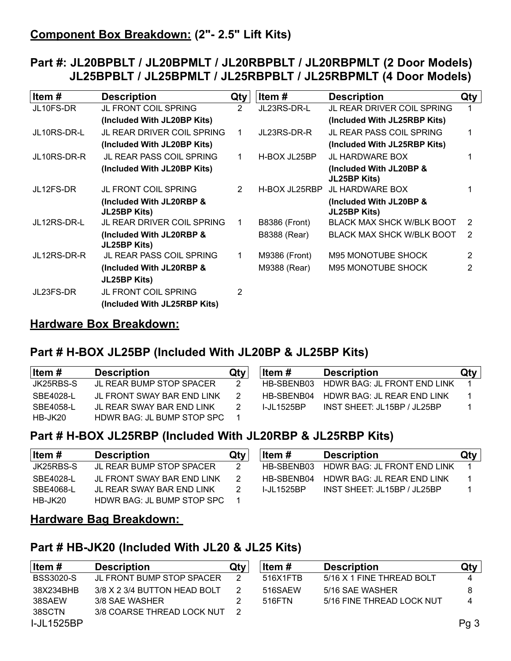# **Part #: JL20BPBLT / JL20BPMLT / JL20RBPBLT / JL20RBPMLT (2 Door Models) JL25BPBLT / JL25BPMLT / JL25RBPBLT / JL25RBPMLT (4 Door Models)**

| Item #      | <b>Description</b>                              | Qty | Item #               | <b>Description</b>                      | Qty |
|-------------|-------------------------------------------------|-----|----------------------|-----------------------------------------|-----|
| JL10FS-DR   | JL FRONT COIL SPRING                            | 2   | JL23RS-DR-L          | JL REAR DRIVER COIL SPRING              |     |
|             | (Included With JL20BP Kits)                     |     |                      | (Included With JL25RBP Kits)            |     |
| JL10RS-DR-L | JL REAR DRIVER COIL SPRING                      | 1.  | JL23RS-DR-R          | <b>JL REAR PASS COIL SPRING</b>         |     |
|             | (Included With JL20BP Kits)                     |     |                      | (Included With JL25RBP Kits)            |     |
| JL10RS-DR-R | <b>JL REAR PASS COIL SPRING</b>                 | 1   | H-BOX JL25BP         | <b>JL HARDWARE BOX</b>                  |     |
|             | (Included With JL20BP Kits)                     |     |                      | (Included With JL20BP &<br>JL25BP Kits) |     |
| JL12FS-DR   | <b>JL FRONT COIL SPRING</b>                     | 2   | H-BOX JL25RBP        | JL HARDWARE BOX                         |     |
|             | (Included With JL20RBP &<br>JL25BP Kits)        |     |                      | (Included With JL20BP &<br>JL25BP Kits) |     |
| JL12RS-DR-L | <b>JL REAR DRIVER COIL SPRING</b>               | 1.  | <b>B8386 (Front)</b> | <b>BLACK MAX SHCK W/BLK BOOT</b>        | 2   |
|             | (Included With JL20RBP &<br><b>JL25BP Kits)</b> |     | B8388 (Rear)         | <b>BLACK MAX SHCK W/BLK BOOT</b>        | 2   |
| JL12RS-DR-R | <b>JL REAR PASS COIL SPRING</b>                 |     | M9386 (Front)        | M95 MONOTUBE SHOCK                      | 2   |
|             | (Included With JL20RBP &                        |     | M9388 (Rear)         | M95 MONOTUBE SHOCK                      | 2   |
|             | <b>JL25BP Kits)</b>                             |     |                      |                                         |     |
| JL23FS-DR   | <b>JL FRONT COIL SPRING</b>                     | 2   |                      |                                         |     |
|             | (Included With JL25RBP Kits)                    |     |                      |                                         |     |

## **Hardware Box Breakdown:**

# **Part # H-BOX JL25BP (Included With JL20BP & JL25BP Kits)**

| ∣ltem #   | <b>Description</b>              | Qtv | ∣ltem #           | <b>Description</b>            | Qty |
|-----------|---------------------------------|-----|-------------------|-------------------------------|-----|
| JK25RBS-S | <b>JL REAR BUMP STOP SPACER</b> |     | HB-SBENB03        | HDWR BAG: JL FRONT END LINK   |     |
| SBE4028-L | JL FRONT SWAY BAR END LINK      |     | HB-SBENB04        | HDWR BAG: JL REAR END LINK    |     |
| SBE4058-L | JL REAR SWAY BAR END LINK       |     | <b>I-JL1525BP</b> | $INST$ SHEET: JL15BP / JL25BP |     |
| HB-JK20   | HDWR BAG: JL BUMP STOP SPC      |     |                   |                               |     |

# **Part # H-BOX JL25RBP (Included With JL20RBP & JL25RBP Kits)**

| ∣ltem #   | <b>Description</b>         | Qtv | Item #            | <b>Description</b>          | Qty |
|-----------|----------------------------|-----|-------------------|-----------------------------|-----|
| JK25RBS-S | JL REAR BUMP STOP SPACER   |     | HB-SBENB03        | HDWR BAG: JL FRONT END LINK |     |
| SBE4028-L | JL FRONT SWAY BAR END LINK |     | HB-SBENB04        | HDWR BAG: JL REAR END LINK  |     |
| SBE4068-L | JL REAR SWAY BAR END LINK  |     | <b>I-JL1525BP</b> | INST SHEET: JL15BP / JL25BP |     |
| HB-JK20   | HDWR BAG: JL BUMP STOP SPC |     |                   |                             |     |

#### **Hardware Bag Breakdown:**

### **Part # HB-JK20 (Included With JL20 & JL25 Kits)**

| ∣ltem #           | <b>Description</b>           | Qty | Item #   | <b>Description</b>        | Qty             |
|-------------------|------------------------------|-----|----------|---------------------------|-----------------|
| <b>BSS3020-S</b>  | JL FRONT BUMP STOP SPACER    | 2   | 516X1FTB | 5/16 X 1 FINE THREAD BOLT | 4               |
| 38X234BHB         | 3/8 X 2 3/4 BUTTON HEAD BOLT |     | 516SAEW  | 5/16 SAE WASHER           | 8               |
| 38SAEW            | 3/8 SAE WASHER               |     | 516FTN   | 5/16 FINE THREAD LOCK NUT | 4               |
| 38SCTN            | 3/8 COARSE THREAD LOCK NUT   |     |          |                           |                 |
| <b>I-JL1525BP</b> |                              |     |          |                           | Pg <sub>3</sub> |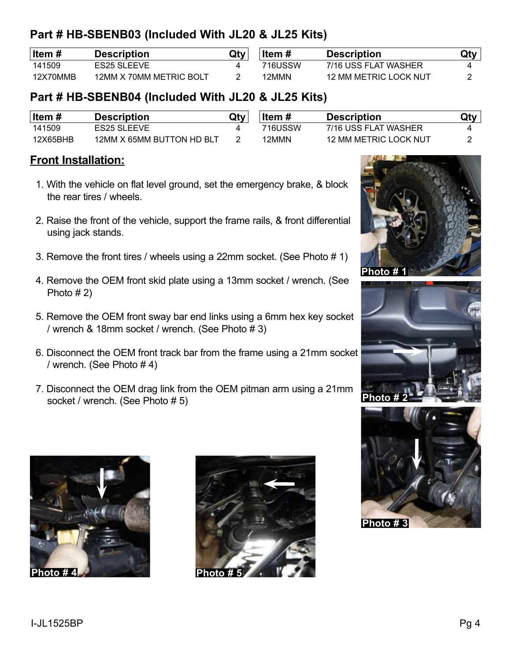# **Part # HB-SBENB03 (Included With JL20 & JL25 Kits)**

| ∣ltem #  | <b>Description</b>      | Qty | Item#   | <b>Description</b>    | Qty |
|----------|-------------------------|-----|---------|-----------------------|-----|
| 141509   | <b>ES25 SLEEVE</b>      |     | 716USSW | 7/16 USS FLAT WASHER  |     |
| 12X70MMB | 12MM X 70MM METRIC BOLT |     | 12MMN   | 12 MM METRIC LOCK NUT |     |

# **Part # HB-SBENB04 (Included With JL20 & JL25 Kits)**

| ∣ltem #  | <b>Description</b>        | Qty | ltem #  | <b>Description</b>    | Qty |
|----------|---------------------------|-----|---------|-----------------------|-----|
| 141509   | <b>ES25 SLEEVE</b>        |     | 716USSW | 7/16 USS FLAT WASHER  |     |
| 12X65BHB | 12MM X 65MM BUTTON HD BLT |     | 12MMN   | 12 MM METRIC LOCK NUT |     |

### **Front Installation:**

- 1. With the vehicle on flat level ground, set the emergency brake, & block the rear tires / wheels.
- 2. Raise the front of the vehicle, support the frame rails, & front differential using jack stands.
- 3. Remove the front tires / wheels using a 22mm socket. (See Photo # 1)
- 4. Remove the OEM front skid plate using a 13mm socket / wrench. (See Photo # 2)
- 5. Remove the OEM front sway bar end links using a 6mm hex key socket / wrench & 18mm socket / wrench. (See Photo # 3)
- 6. Disconnect the OEM front track bar from the frame using a 21mm socket / wrench. (See Photo # 4)
- 7. Disconnect the OEM drag link from the OEM pitman arm using a 21mm socket / wrench. (See Photo # 5)









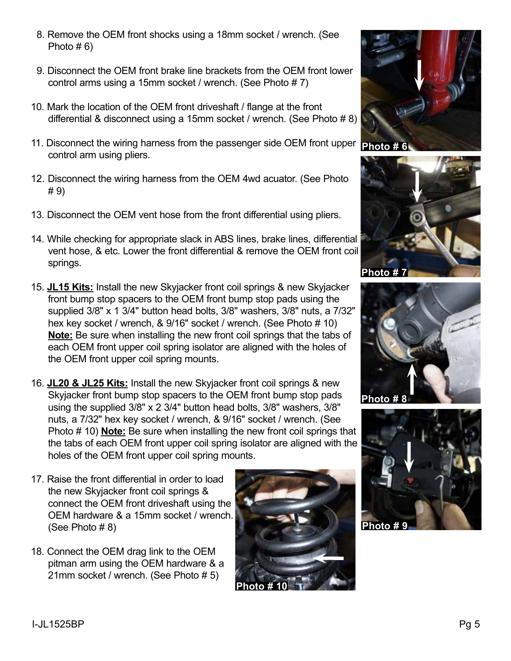- 8. Remove the OEM front shocks using a 18mm socket / wrench. (See Photo  $# 6$ )
- 9. Disconnect the OEM front brake line brackets from the OEM front lower control arms using a 15mm socket / wrench. (See Photo # 7)
- 10. Mark the location of the OEM front driveshaft / flange at the front differential & disconnect using a 15mm socket / wrench. (See Photo # 8)
- 11. Disconnect the wiring harness from the passenger side OEM front upper **Photo # 6** control arm using pliers.
- 12. Disconnect the wiring harness from the OEM 4wd acuator. (See Photo # 9)
- 13. Disconnect the OEM vent hose from the front differential using pliers.
- 14. While checking for appropriate slack in ABS lines, brake lines, differential vent hose, & etc. Lower the front differential & remove the OEM front coil springs.
- 15. **JL15 Kits:** Install the new Skyjacker front coil springs & new Skyjacker front bump stop spacers to the OEM front bump stop pads using the supplied 3/8" x 1 3/4" button head bolts, 3/8" washers, 3/8" nuts, a 7/32" hex key socket / wrench, & 9/16" socket / wrench. (See Photo # 10) **Note:** Be sure when installing the new front coil springs that the tabs of each OEM front upper coil spring isolator are aligned with the holes of the OEM front upper coil spring mounts.
- 16. **JL20 & JL25 Kits:** Install the new Skyjacker front coil springs & new Skyjacker front bump stop spacers to the OEM front bump stop pads using the supplied 3/8" x 2 3/4" button head bolts, 3/8" washers, 3/8" nuts, a 7/32" hex key socket / wrench, & 9/16" socket / wrench. (See Photo # 10) **Note:** Be sure when installing the new front coil springs that the tabs of each OEM front upper coil spring isolator are aligned with the holes of the OEM front upper coil spring mounts.
- 17. Raise the front differential in order to load the new Skyjacker front coil springs & connect the OEM front driveshaft using the OEM hardware & a 15mm socket / wrench. (See Photo # 8)
- 18. Connect the OEM drag link to the OEM pitman arm using the OEM hardware & a 21mm socket / wrench. (See Photo # 5)









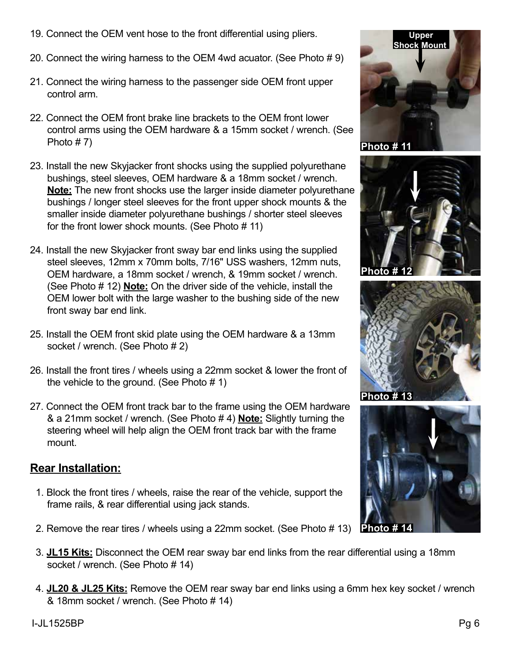- 19. Connect the OEM vent hose to the front differential using pliers.
- 20. Connect the wiring harness to the OEM 4wd acuator. (See Photo # 9)
- 21. Connect the wiring harness to the passenger side OEM front upper control arm.
- 22. Connect the OEM front brake line brackets to the OEM front lower control arms using the OEM hardware & a 15mm socket / wrench. (See Photo # 7)
- 23. Install the new Skyjacker front shocks using the supplied polyurethane bushings, steel sleeves, OEM hardware & a 18mm socket / wrench. **Note:** The new front shocks use the larger inside diameter polyurethane bushings / longer steel sleeves for the front upper shock mounts & the smaller inside diameter polyurethane bushings / shorter steel sleeves for the front lower shock mounts. (See Photo # 11)
- 24. Install the new Skyjacker front sway bar end links using the supplied steel sleeves, 12mm x 70mm bolts, 7/16" USS washers, 12mm nuts, OEM hardware, a 18mm socket / wrench, & 19mm socket / wrench. (See Photo # 12) **Note:** On the driver side of the vehicle, install the OEM lower bolt with the large washer to the bushing side of the new front sway bar end link.
- 25. Install the OEM front skid plate using the OEM hardware & a 13mm socket / wrench. (See Photo # 2)
- 26. Install the front tires / wheels using a 22mm socket & lower the front of the vehicle to the ground. (See Photo  $# 1$ )
- 27. Connect the OEM front track bar to the frame using the OEM hardware & a 21mm socket / wrench. (See Photo # 4) **Note:** Slightly turning the steering wheel will help align the OEM front track bar with the frame mount.

# **Rear Installation:**

- 1. Block the front tires / wheels, raise the rear of the vehicle, support the frame rails, & rear differential using jack stands.
- 2. Remove the rear tires / wheels using a 22mm socket. (See Photo # 13) **Photo # 14**
- 3. **JL15 Kits:** Disconnect the OEM rear sway bar end links from the rear differential using a 18mm socket / wrench. (See Photo # 14)
- 4. **JL20 & JL25 Kits:** Remove the OEM rear sway bar end links using a 6mm hex key socket / wrench & 18mm socket / wrench. (See Photo # 14)







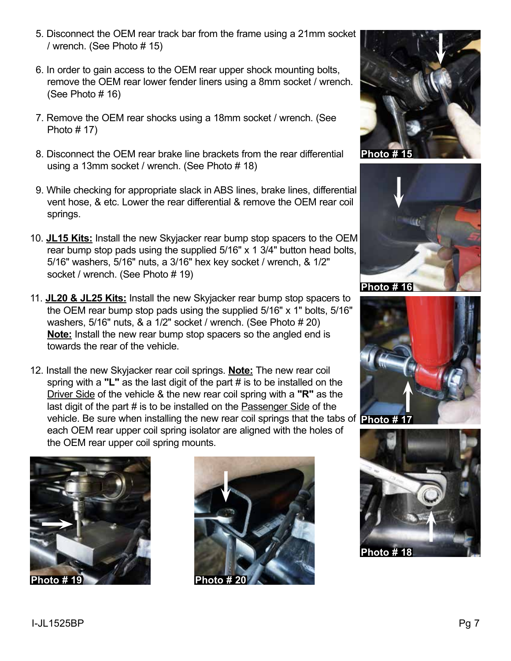- 5. Disconnect the OEM rear track bar from the frame using a 21mm socket / wrench. (See Photo # 15)
- 6. In order to gain access to the OEM rear upper shock mounting bolts, remove the OEM rear lower fender liners using a 8mm socket / wrench. (See Photo # 16)
- 7. Remove the OEM rear shocks using a 18mm socket / wrench. (See Photo  $# 17$ )
- 8. Disconnect the OEM rear brake line brackets from the rear differential using a 13mm socket / wrench. (See Photo # 18)
- 9. While checking for appropriate slack in ABS lines, brake lines, differential vent hose, & etc. Lower the rear differential & remove the OEM rear coil springs.
- 10. **JL15 Kits:** Install the new Skyjacker rear bump stop spacers to the OEM rear bump stop pads using the supplied 5/16" x 1 3/4" button head bolts, 5/16" washers, 5/16" nuts, a 3/16" hex key socket / wrench, & 1/2" socket / wrench. (See Photo # 19)
- 11. **JL20 & JL25 Kits:** Install the new Skyjacker rear bump stop spacers to the OEM rear bump stop pads using the supplied 5/16" x 1" bolts, 5/16" washers, 5/16" nuts, & a 1/2" socket / wrench. (See Photo # 20) **Note:** Install the new rear bump stop spacers so the angled end is towards the rear of the vehicle.
- 12. Install the new Skyjacker rear coil springs. **Note:** The new rear coil spring with a **"L"** as the last digit of the part # is to be installed on the Driver Side of the vehicle & the new rear coil spring with a **"R"** as the last digit of the part # is to be installed on the Passenger Side of the vehicle. Be sure when installing the new rear coil springs that the tabs of **Photo # 17** each OEM rear upper coil spring isolator are aligned with the holes of the OEM rear upper coil spring mounts.











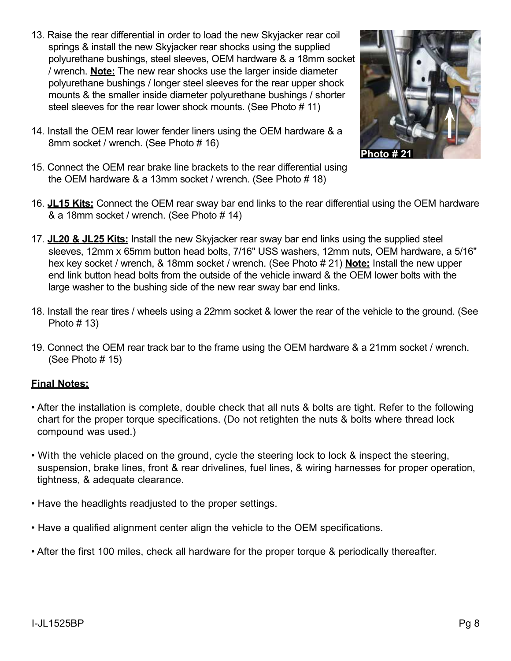13. Raise the rear differential in order to load the new Skyjacker rear coil springs & install the new Skyjacker rear shocks using the supplied polyurethane bushings, steel sleeves, OEM hardware & a 18mm socket / wrench. **Note:** The new rear shocks use the larger inside diameter polyurethane bushings / longer steel sleeves for the rear upper shock mounts & the smaller inside diameter polyurethane bushings / shorter steel sleeves for the rear lower shock mounts. (See Photo # 11)



- 14. Install the OEM rear lower fender liners using the OEM hardware & a 8mm socket / wrench. (See Photo # 16)
- 15. Connect the OEM rear brake line brackets to the rear differential using the OEM hardware & a 13mm socket / wrench. (See Photo # 18)
- 16. **JL15 Kits:** Connect the OEM rear sway bar end links to the rear differential using the OEM hardware & a 18mm socket / wrench. (See Photo # 14)
- 17. **JL20 & JL25 Kits:** Install the new Skyjacker rear sway bar end links using the supplied steel sleeves, 12mm x 65mm button head bolts, 7/16" USS washers, 12mm nuts, OEM hardware, a 5/16" hex key socket / wrench, & 18mm socket / wrench. (See Photo # 21) **Note:** Install the new upper end link button head bolts from the outside of the vehicle inward & the OEM lower bolts with the large washer to the bushing side of the new rear sway bar end links.
- 18. Install the rear tires / wheels using a 22mm socket & lower the rear of the vehicle to the ground. (See Photo  $# 13$ )
- 19. Connect the OEM rear track bar to the frame using the OEM hardware & a 21mm socket / wrench. (See Photo # 15)

#### **Final Notes:**

- After the installation is complete, double check that all nuts & bolts are tight. Refer to the following chart for the proper torque specifications. (Do not retighten the nuts & bolts where thread lock compound was used.)
- With the vehicle placed on the ground, cycle the steering lock to lock & inspect the steering, suspension, brake lines, front & rear drivelines, fuel lines, & wiring harnesses for proper operation, tightness, & adequate clearance.
- Have the headlights readjusted to the proper settings.
- Have a qualified alignment center align the vehicle to the OEM specifications.
- After the first 100 miles, check all hardware for the proper torque & periodically thereafter.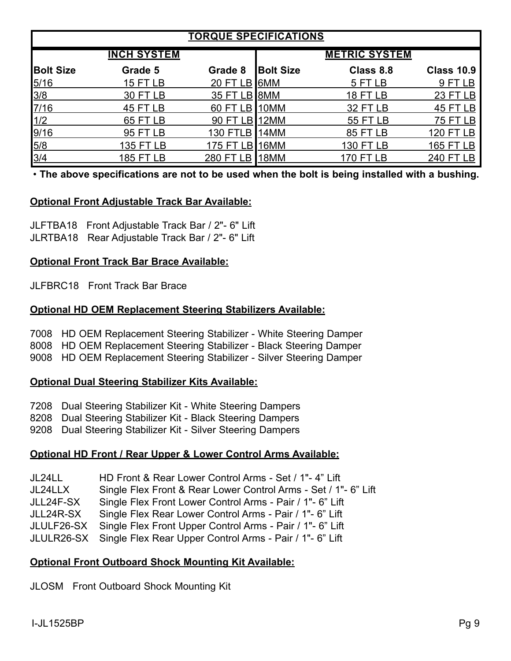| <b>TORQUE SPECIFICATIONS</b> |                    |                 |                  |                      |                   |  |  |  |
|------------------------------|--------------------|-----------------|------------------|----------------------|-------------------|--|--|--|
|                              | <b>INCH SYSTEM</b> |                 |                  | <b>METRIC SYSTEM</b> |                   |  |  |  |
| <b>Bolt Size</b>             | Grade 5            | Grade 8         | <b>Bolt Size</b> | Class 8.8            | <b>Class 10.9</b> |  |  |  |
| $5/16$                       | <b>15 FT LB</b>    | <b>20 FT LB</b> | I6MM             | 5 FT LB              | 9 FT LB           |  |  |  |
| 3/8                          | 30 FT LB           | 35 FT LB        | 8MM              | <b>18 FT LB</b>      | <b>23 FT LB</b>   |  |  |  |
| 7/16                         | <b>45 FT LB</b>    | 60 FT LB        | 10MM             | <b>32 FT LB</b>      | 45 FT LB          |  |  |  |
| 1/2                          | <b>65 FT LB</b>    | 90 FT LB        | 12MM             | <b>55 FT LB</b>      | <b>75 FT LB</b>   |  |  |  |
| 9/16                         | 95 FT LB           | <b>130 FTLB</b> | 14MM             | <b>85 FT LB</b>      | <b>120 FT LB</b>  |  |  |  |
| 5/8                          | 135 FT LB          | 175 FT LB       | 16MM             | 130 FT LB            | 165 FT LB         |  |  |  |
| $\frac{3}{4}$                | 185 FT LB          | 280 FT LB       | 18MM             | 170 FT LB            | 240 FT LB         |  |  |  |

• **The above specifications are not to be used when the bolt is being installed with a bushing.**

#### **Optional Front Adjustable Track Bar Available:**

JLFTBA18 Front Adjustable Track Bar / 2"- 6" Lift JLRTBA18 Rear Adjustable Track Bar / 2"- 6" Lift

#### **Optional Front Track Bar Brace Available:**

JLFBRC18 Front Track Bar Brace

#### **Optional HD OEM Replacement Steering Stabilizers Available:**

7008 HD OEM Replacement Steering Stabilizer - White Steering Damper 8008 HD OEM Replacement Steering Stabilizer - Black Steering Damper 9008 HD OEM Replacement Steering Stabilizer - Silver Steering Damper

#### **Optional Dual Steering Stabilizer Kits Available:**

7208 Dual Steering Stabilizer Kit - White Steering Dampers

8208 Dual Steering Stabilizer Kit - Black Steering Dampers

9208 Dual Steering Stabilizer Kit - Silver Steering Dampers

#### **Optional HD Front / Rear Upper & Lower Control Arms Available:**

JL24LL HD Front & Rear Lower Control Arms - Set / 1"- 4" Lift JL24LLX Single Flex Front & Rear Lower Control Arms - Set / 1"- 6" Lift JLL24F-SX Single Flex Front Lower Control Arms - Pair / 1"- 6" Lift JLL24R-SX Single Flex Rear Lower Control Arms - Pair / 1"- 6" Lift JLULF26-SX Single Flex Front Upper Control Arms - Pair / 1"- 6" Lift JLULR26-SX Single Flex Rear Upper Control Arms - Pair / 1"- 6" Lift

#### **Optional Front Outboard Shock Mounting Kit Available:**

JLOSM Front Outboard Shock Mounting Kit